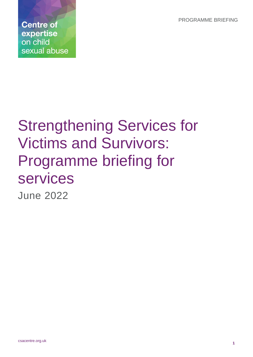PROGRAMME BRIEFING

**Centre of** expertise on child sexual abuse

# Strengthening Services for Victims and Survivors: Programme briefing for services June 2022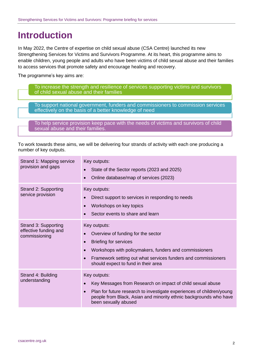## **Introduction**

In May 2022, the Centre of expertise on child sexual abuse (CSA Centre) launched its new Strengthening Services for Victims and Survivors Programme. At its heart, this programme aims to enable children, young people and adults who have been victims of child sexual abuse and their families to access services that promote safety and encourage healing and recovery.

The programme's key aims are:

To increase the strength and resilience of services supporting victims and survivors of child sexual abuse and their families

To support national government, funders and commissioners to commission services effectively on the basis of a better knowledge of need

To help service provision keep pace with the needs of victims and survivors of child sexual abuse and their families.

To work towards these aims, we will be delivering four strands of activity with each one producing a number of key outputs.

| Strand 1: Mapping service<br>provision and gaps                | Key outputs:<br>State of the Sector reports (2023 and 2025)<br>$\bullet$<br>Online database/map of services (2023)                                                                                                                                                                          |
|----------------------------------------------------------------|---------------------------------------------------------------------------------------------------------------------------------------------------------------------------------------------------------------------------------------------------------------------------------------------|
| Strand 2: Supporting<br>service provision                      | Key outputs:<br>Direct support to services in responding to needs<br>$\bullet$<br>Workshops on key topics<br>$\bullet$<br>Sector events to share and learn                                                                                                                                  |
| Strand 3: Supporting<br>effective funding and<br>commissioning | Key outputs:<br>Overview of funding for the sector<br><b>Briefing for services</b><br>$\bullet$<br>Workshops with policymakers, funders and commissioners<br>$\bullet$<br>Framework setting out what services funders and commissioners<br>$\bullet$<br>should expect to fund in their area |
| Strand 4: Building<br>understanding                            | Key outputs:<br>Key Messages from Research on impact of child sexual abuse<br>$\bullet$<br>Plan for future research to investigate experiences of children/young<br>$\bullet$<br>people from Black, Asian and minority ethnic backgrounds who have<br>been sexually abused                  |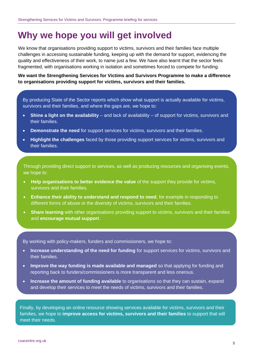## **Why we hope you will get involved**

We know that organisations providing support to victims, survivors and their families face multiple challenges in accessing sustainable funding, keeping up with the demand for support, evidencing the quality and effectiveness of their work, to name just a few. We have also learnt that the sector feels fragmented, with organisations working in isolation and sometimes forced to compete for funding.

**We want the Strengthening Services for Victims and Survivors Programme to make a difference to organisations providing support for victims, survivors and their families.**

By producing State of the Sector reports which show what support is actually available for victims, survivors and their families, and where the gaps are, we hope to:

- **Shine a light on the availability** and lack of availability of support for victims, survivors and their families.
- **Demonstrate the need** for support services for victims, survivors and their families.
- **Highlight the challenges** faced by those providing support services for victims, survivors and their families.

Through providing direct support to services, as well as producing resources and organising events, we hope to:

- **Help organisations to better evidence the value** of the support they provide for victims, survivors and their families.
- **Enhance their ability to understand and respond to need**, for example in responding to different forms of abuse or the diversity of victims, survivors and their families.
- **Share learning** with other organisations providing support to victims, survivors and their families and **encourage mutual support**.

By working with policy-makers, funders and commissioners, we hope to:

- **Increase understanding of the need for funding** for support services for victims, survivors and their families.
- **Improve the way funding is made available and managed** so that applying for funding and reporting back to funders/commissioners is more transparent and less onerous.
- **Increase the amount of funding available** to organisations so that they can sustain, expand and develop their services to meet the needs of victims, survivors and their families.

Finally, by developing an online resource showing services available for victims, survivors and their families, we hope to **improve access for victims, survivors and their families** to support that wilI meet their needs.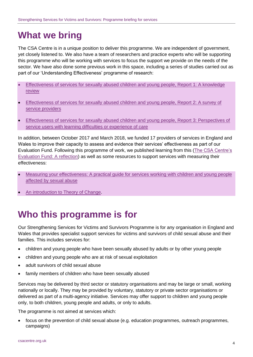## **What we bring**

The CSA Centre is in a unique position to deliver this programme. We are independent of government, yet closely listened to. We also have a team of researchers and practice experts who will be supporting this programme who will be working with services to focus the support we provide on the needs of the sector. We have also done some previous work in this space, including a series of studies carried out as part of our 'Understanding Effectiveness' programme of research:

- [Effectiveness of services for sexually abused children and young people, Report 1: A knowledge](https://www.csacentre.org.uk/documents/effectiveness-knowledge-review/)  [review](https://www.csacentre.org.uk/documents/effectiveness-knowledge-review/)
- [Effectiveness of services for sexually abused children and young people, Report 2: A survey of](https://www.csacentre.org.uk/documents/effectiveness-survey-of-services/)  [service providers](https://www.csacentre.org.uk/documents/effectiveness-survey-of-services/)
- [Effectiveness of services for sexually abused children and young people, Report 3: Perspectives of](https://www.csacentre.org.uk/documents/effectiveness-learning-difficulties-care/)  [service users with learning difficulties or experience of care](https://www.csacentre.org.uk/documents/effectiveness-learning-difficulties-care/)

In addition, between October 2017 and March 2018, we funded 17 providers of services in England and Wales to improve their capacity to assess and evidence their services' effectiveness as part of our Evaluation Fund. Following this programme of work, we published learning from this [\(The CSA Centre's](https://www.csacentre.org.uk/documents/the-csa-centre-evaluation-fund-a-reflection-english/)  [Evaluation Fund: A reflection\)](https://www.csacentre.org.uk/documents/the-csa-centre-evaluation-fund-a-reflection-english/) as well as some resources to support services with measuring their effectiveness:

- [Measuring your effectiveness: A practical guide for services working with children and young people](https://www.csacentre.org.uk/our-research/effectiveness/measuring-your-effectiveness/)  [affected by sexual abuse](https://www.csacentre.org.uk/our-research/effectiveness/measuring-your-effectiveness/)
- [An introduction to Theory of Change.](https://youtu.be/G2QWPTYReaE)

## **Who this programme is for**

Our Strengthening Services for Victims and Survivors Programme is for any organisation in England and Wales that provides specialist support services for victims and survivors of child sexual abuse and their families. This includes services for:

- children and young people who have been sexually abused by adults or by other young people
- children and young people who are at risk of sexual exploitation
- adult survivors of child sexual abuse
- family members of children who have been sexually abused

Services may be delivered by third sector or statutory organisations and may be large or small, working nationally or locally. They may be provided by voluntary, statutory or private sector organisations or delivered as part of a multi-agency initiative. Services may offer support to children and young people only, to both children, young people and adults, or only to adults.

The programme is not aimed at services which:

• focus on the prevention of child sexual abuse (e.g. education programmes, outreach programmes, campaigns)